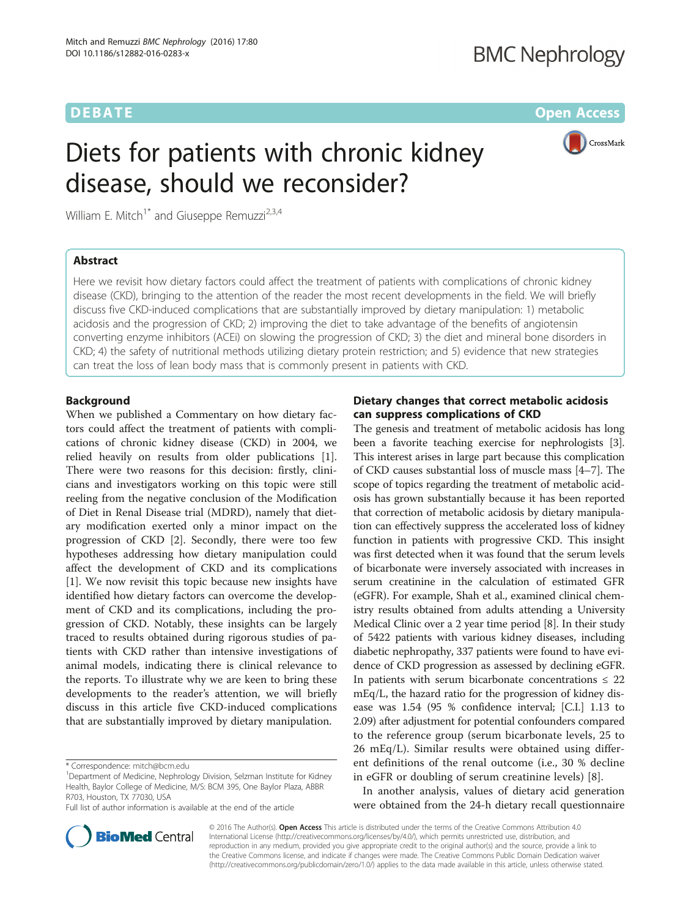# **BMC Nephrology**

**DEBATE CONSERVATION CONSERVATION** 

CrossMark

# Diets for patients with chronic kidney disease, should we reconsider?

William E. Mitch<sup>1\*</sup> and Giuseppe Remuzzi<sup>2,3,4</sup>

# Abstract

Here we revisit how dietary factors could affect the treatment of patients with complications of chronic kidney disease (CKD), bringing to the attention of the reader the most recent developments in the field. We will briefly discuss five CKD-induced complications that are substantially improved by dietary manipulation: 1) metabolic acidosis and the progression of CKD; 2) improving the diet to take advantage of the benefits of angiotensin converting enzyme inhibitors (ACEi) on slowing the progression of CKD; 3) the diet and mineral bone disorders in CKD; 4) the safety of nutritional methods utilizing dietary protein restriction; and 5) evidence that new strategies can treat the loss of lean body mass that is commonly present in patients with CKD.

#### Background

When we published a Commentary on how dietary factors could affect the treatment of patients with complications of chronic kidney disease (CKD) in 2004, we relied heavily on results from older publications [\[1](#page-6-0)]. There were two reasons for this decision: firstly, clinicians and investigators working on this topic were still reeling from the negative conclusion of the Modification of Diet in Renal Disease trial (MDRD), namely that dietary modification exerted only a minor impact on the progression of CKD [[2\]](#page-6-0). Secondly, there were too few hypotheses addressing how dietary manipulation could affect the development of CKD and its complications [1]. We now revisit this topic because new insights have identified how dietary factors can overcome the development of CKD and its complications, including the progression of CKD. Notably, these insights can be largely traced to results obtained during rigorous studies of patients with CKD rather than intensive investigations of animal models, indicating there is clinical relevance to the reports. To illustrate why we are keen to bring these developments to the reader's attention, we will briefly discuss in this article five CKD-induced complications that are substantially improved by dietary manipulation.

<sup>1</sup>Department of Medicine, Nephrology Division, Selzman Institute for Kidney Health, Baylor College of Medicine, M/S: BCM 395, One Baylor Plaza, ABBR R703, Houston, TX 77030, USA

Full list of author information is available at the end of the article

# Dietary changes that correct metabolic acidosis can suppress complications of CKD

The genesis and treatment of metabolic acidosis has long been a favorite teaching exercise for nephrologists [[3](#page-6-0)]. This interest arises in large part because this complication of CKD causes substantial loss of muscle mass [[4](#page-6-0)–[7](#page-6-0)]. The scope of topics regarding the treatment of metabolic acidosis has grown substantially because it has been reported that correction of metabolic acidosis by dietary manipulation can effectively suppress the accelerated loss of kidney function in patients with progressive CKD. This insight was first detected when it was found that the serum levels of bicarbonate were inversely associated with increases in serum creatinine in the calculation of estimated GFR (eGFR). For example, Shah et al., examined clinical chemistry results obtained from adults attending a University Medical Clinic over a 2 year time period [[8\]](#page-6-0). In their study of 5422 patients with various kidney diseases, including diabetic nephropathy, 337 patients were found to have evidence of CKD progression as assessed by declining eGFR. In patients with serum bicarbonate concentrations  $\leq 22$ mEq/L, the hazard ratio for the progression of kidney disease was 1.54 (95 % confidence interval; [C.I.] 1.13 to 2.09) after adjustment for potential confounders compared to the reference group (serum bicarbonate levels, 25 to 26 mEq/L). Similar results were obtained using different definitions of the renal outcome (i.e., 30 % decline in eGFR or doubling of serum creatinine levels) [[8\]](#page-6-0).

In another analysis, values of dietary acid generation were obtained from the 24-h dietary recall questionnaire



© 2016 The Author(s). Open Access This article is distributed under the terms of the Creative Commons Attribution 4.0 International License [\(http://creativecommons.org/licenses/by/4.0/](http://creativecommons.org/licenses/by/4.0/)), which permits unrestricted use, distribution, and reproduction in any medium, provided you give appropriate credit to the original author(s) and the source, provide a link to the Creative Commons license, and indicate if changes were made. The Creative Commons Public Domain Dedication waiver [\(http://creativecommons.org/publicdomain/zero/1.0/](http://creativecommons.org/publicdomain/zero/1.0/)) applies to the data made available in this article, unless otherwise stated.

<sup>\*</sup> Correspondence: [mitch@bcm.edu](mailto:mitch@bcm.edu) <sup>1</sup>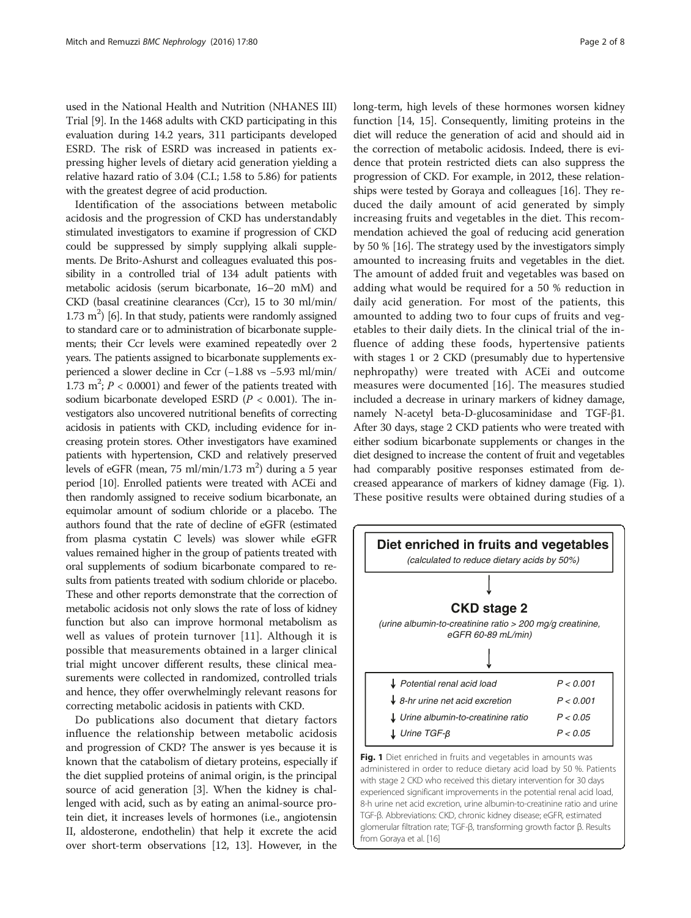used in the National Health and Nutrition (NHANES III) Trial [[9\]](#page-6-0). In the 1468 adults with CKD participating in this evaluation during 14.2 years, 311 participants developed ESRD. The risk of ESRD was increased in patients expressing higher levels of dietary acid generation yielding a relative hazard ratio of 3.04 (C.I.; 1.58 to 5.86) for patients with the greatest degree of acid production.

Identification of the associations between metabolic acidosis and the progression of CKD has understandably stimulated investigators to examine if progression of CKD could be suppressed by simply supplying alkali supplements. De Brito-Ashurst and colleagues evaluated this possibility in a controlled trial of 134 adult patients with metabolic acidosis (serum bicarbonate, 16–20 mM) and CKD (basal creatinine clearances (Ccr), 15 to 30 ml/min/  $1.73 \text{ m}^2$ ) [[6](#page-6-0)]. In that study, patients were randomly assigned to standard care or to administration of bicarbonate supplements; their Ccr levels were examined repeatedly over 2 years. The patients assigned to bicarbonate supplements experienced a slower decline in Ccr (−1.88 vs −5.93 ml/min/ 1.73 m<sup>2</sup>;  $P < 0.0001$ ) and fewer of the patients treated with sodium bicarbonate developed ESRD ( $P < 0.001$ ). The investigators also uncovered nutritional benefits of correcting acidosis in patients with CKD, including evidence for increasing protein stores. Other investigators have examined patients with hypertension, CKD and relatively preserved levels of eGFR (mean, 75 ml/min/1.73 m<sup>2</sup>) during a 5 year period [\[10\]](#page-6-0). Enrolled patients were treated with ACEi and then randomly assigned to receive sodium bicarbonate, an equimolar amount of sodium chloride or a placebo. The authors found that the rate of decline of eGFR (estimated from plasma cystatin C levels) was slower while eGFR values remained higher in the group of patients treated with oral supplements of sodium bicarbonate compared to results from patients treated with sodium chloride or placebo. These and other reports demonstrate that the correction of metabolic acidosis not only slows the rate of loss of kidney function but also can improve hormonal metabolism as well as values of protein turnover [[11\]](#page-6-0). Although it is possible that measurements obtained in a larger clinical trial might uncover different results, these clinical measurements were collected in randomized, controlled trials and hence, they offer overwhelmingly relevant reasons for correcting metabolic acidosis in patients with CKD.

Do publications also document that dietary factors influence the relationship between metabolic acidosis and progression of CKD? The answer is yes because it is known that the catabolism of dietary proteins, especially if the diet supplied proteins of animal origin, is the principal source of acid generation [\[3](#page-6-0)]. When the kidney is challenged with acid, such as by eating an animal-source protein diet, it increases levels of hormones (i.e., angiotensin II, aldosterone, endothelin) that help it excrete the acid over short-term observations [[12](#page-6-0), [13](#page-6-0)]. However, in the long-term, high levels of these hormones worsen kidney function [[14](#page-6-0), [15](#page-6-0)]. Consequently, limiting proteins in the diet will reduce the generation of acid and should aid in the correction of metabolic acidosis. Indeed, there is evidence that protein restricted diets can also suppress the progression of CKD. For example, in 2012, these relationships were tested by Goraya and colleagues [[16](#page-6-0)]. They reduced the daily amount of acid generated by simply increasing fruits and vegetables in the diet. This recommendation achieved the goal of reducing acid generation by 50 % [[16](#page-6-0)]. The strategy used by the investigators simply amounted to increasing fruits and vegetables in the diet. The amount of added fruit and vegetables was based on adding what would be required for a 50 % reduction in daily acid generation. For most of the patients, this amounted to adding two to four cups of fruits and vegetables to their daily diets. In the clinical trial of the influence of adding these foods, hypertensive patients with stages 1 or 2 CKD (presumably due to hypertensive nephropathy) were treated with ACEi and outcome measures were documented [[16\]](#page-6-0). The measures studied included a decrease in urinary markers of kidney damage, namely N-acetyl beta-D-glucosaminidase and TGF-β1. After 30 days, stage 2 CKD patients who were treated with either sodium bicarbonate supplements or changes in the diet designed to increase the content of fruit and vegetables had comparably positive responses estimated from decreased appearance of markers of kidney damage (Fig. 1). These positive results were obtained during studies of a



Fig. 1 Diet enriched in fruits and vegetables in amounts was administered in order to reduce dietary acid load by 50 %. Patients with stage 2 CKD who received this dietary intervention for 30 days experienced significant improvements in the potential renal acid load, 8-h urine net acid excretion, urine albumin-to-creatinine ratio and urine TGF-β. Abbreviations: CKD, chronic kidney disease; eGFR, estimated glomerular filtration rate; TGF-β, transforming growth factor β. Results from Goraya et al. [\[16](#page-6-0)]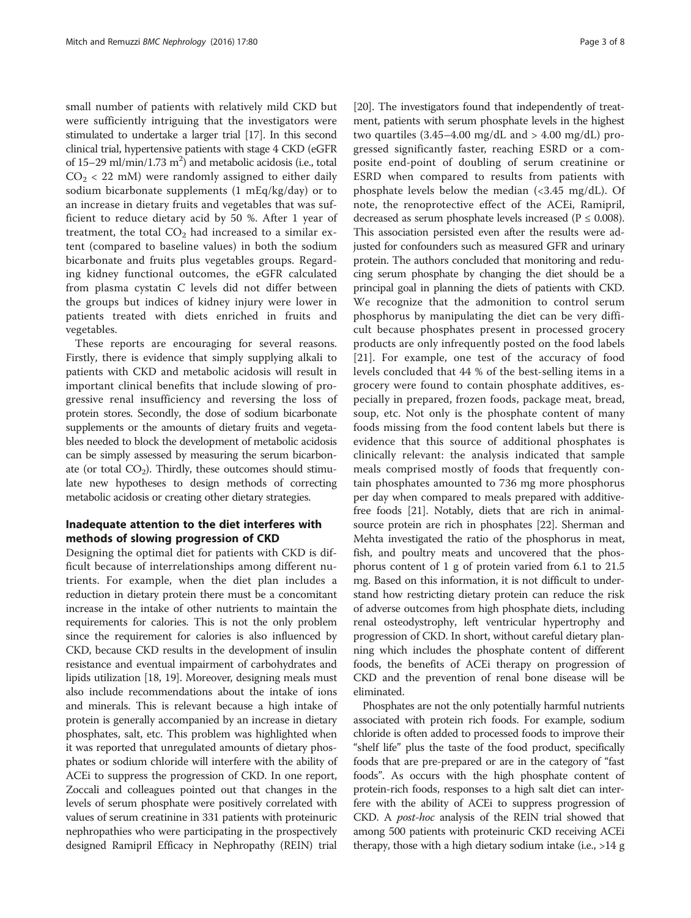small number of patients with relatively mild CKD but were sufficiently intriguing that the investigators were stimulated to undertake a larger trial [\[17\]](#page-6-0). In this second clinical trial, hypertensive patients with stage 4 CKD (eGFR of  $15-29$  ml/min/ $1.73$  m<sup>2</sup>) and metabolic acidosis (i.e., total  $CO<sub>2</sub> < 22$  mM) were randomly assigned to either daily sodium bicarbonate supplements (1 mEq/kg/day) or to an increase in dietary fruits and vegetables that was sufficient to reduce dietary acid by 50 %. After 1 year of treatment, the total  $CO<sub>2</sub>$  had increased to a similar extent (compared to baseline values) in both the sodium bicarbonate and fruits plus vegetables groups. Regarding kidney functional outcomes, the eGFR calculated from plasma cystatin C levels did not differ between the groups but indices of kidney injury were lower in patients treated with diets enriched in fruits and vegetables.

These reports are encouraging for several reasons. Firstly, there is evidence that simply supplying alkali to patients with CKD and metabolic acidosis will result in important clinical benefits that include slowing of progressive renal insufficiency and reversing the loss of protein stores. Secondly, the dose of sodium bicarbonate supplements or the amounts of dietary fruits and vegetables needed to block the development of metabolic acidosis can be simply assessed by measuring the serum bicarbonate (or total  $CO<sub>2</sub>$ ). Thirdly, these outcomes should stimulate new hypotheses to design methods of correcting metabolic acidosis or creating other dietary strategies.

# Inadequate attention to the diet interferes with methods of slowing progression of CKD

Designing the optimal diet for patients with CKD is difficult because of interrelationships among different nutrients. For example, when the diet plan includes a reduction in dietary protein there must be a concomitant increase in the intake of other nutrients to maintain the requirements for calories. This is not the only problem since the requirement for calories is also influenced by CKD, because CKD results in the development of insulin resistance and eventual impairment of carbohydrates and lipids utilization [\[18](#page-6-0), [19\]](#page-6-0). Moreover, designing meals must also include recommendations about the intake of ions and minerals. This is relevant because a high intake of protein is generally accompanied by an increase in dietary phosphates, salt, etc. This problem was highlighted when it was reported that unregulated amounts of dietary phosphates or sodium chloride will interfere with the ability of ACEi to suppress the progression of CKD. In one report, Zoccali and colleagues pointed out that changes in the levels of serum phosphate were positively correlated with values of serum creatinine in 331 patients with proteinuric nephropathies who were participating in the prospectively designed Ramipril Efficacy in Nephropathy (REIN) trial

[[20](#page-6-0)]. The investigators found that independently of treatment, patients with serum phosphate levels in the highest two quartiles  $(3.45-4.00 \text{ mg/dL}$  and  $> 4.00 \text{ mg/dL}$ ) progressed significantly faster, reaching ESRD or a composite end-point of doubling of serum creatinine or ESRD when compared to results from patients with phosphate levels below the median (<3.45 mg/dL). Of note, the renoprotective effect of the ACEi, Ramipril, decreased as serum phosphate levels increased ( $P \le 0.008$ ). This association persisted even after the results were adjusted for confounders such as measured GFR and urinary protein. The authors concluded that monitoring and reducing serum phosphate by changing the diet should be a principal goal in planning the diets of patients with CKD. We recognize that the admonition to control serum phosphorus by manipulating the diet can be very difficult because phosphates present in processed grocery products are only infrequently posted on the food labels [[21\]](#page-6-0). For example, one test of the accuracy of food levels concluded that 44 % of the best-selling items in a grocery were found to contain phosphate additives, especially in prepared, frozen foods, package meat, bread, soup, etc. Not only is the phosphate content of many foods missing from the food content labels but there is evidence that this source of additional phosphates is clinically relevant: the analysis indicated that sample meals comprised mostly of foods that frequently contain phosphates amounted to 736 mg more phosphorus per day when compared to meals prepared with additivefree foods [\[21](#page-6-0)]. Notably, diets that are rich in animalsource protein are rich in phosphates [[22](#page-6-0)]. Sherman and Mehta investigated the ratio of the phosphorus in meat, fish, and poultry meats and uncovered that the phosphorus content of 1 g of protein varied from 6.1 to 21.5 mg. Based on this information, it is not difficult to understand how restricting dietary protein can reduce the risk of adverse outcomes from high phosphate diets, including renal osteodystrophy, left ventricular hypertrophy and progression of CKD. In short, without careful dietary planning which includes the phosphate content of different foods, the benefits of ACEi therapy on progression of CKD and the prevention of renal bone disease will be eliminated.

Phosphates are not the only potentially harmful nutrients associated with protein rich foods. For example, sodium chloride is often added to processed foods to improve their "shelf life" plus the taste of the food product, specifically foods that are pre-prepared or are in the category of "fast foods". As occurs with the high phosphate content of protein-rich foods, responses to a high salt diet can interfere with the ability of ACEi to suppress progression of CKD. A post-hoc analysis of the REIN trial showed that among 500 patients with proteinuric CKD receiving ACEi therapy, those with a high dietary sodium intake (i.e., >14 g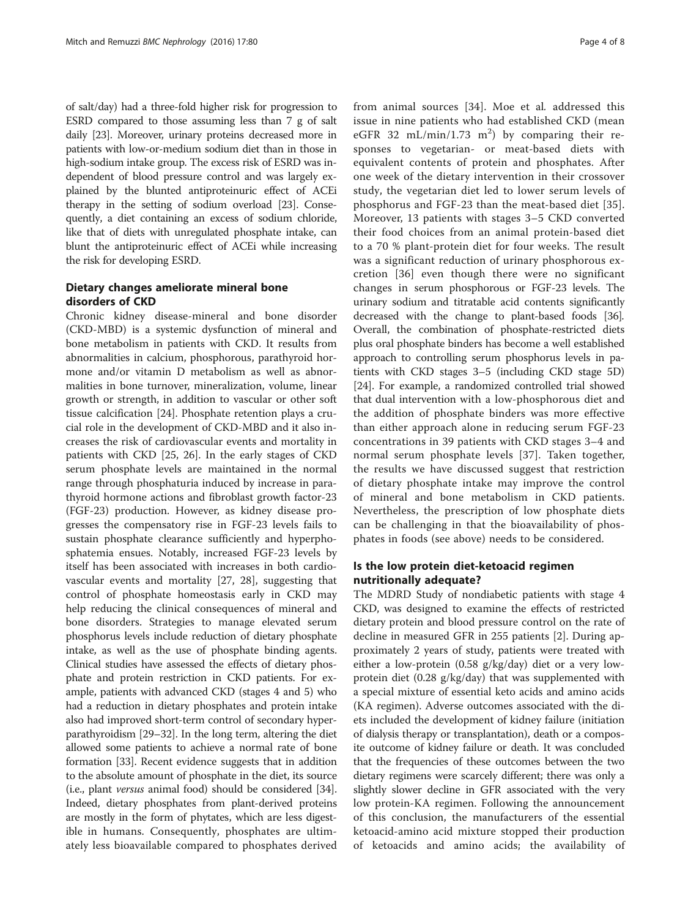of salt/day) had a three-fold higher risk for progression to ESRD compared to those assuming less than 7 g of salt daily [\[23\]](#page-6-0). Moreover, urinary proteins decreased more in patients with low-or-medium sodium diet than in those in high-sodium intake group. The excess risk of ESRD was independent of blood pressure control and was largely explained by the blunted antiproteinuric effect of ACEi therapy in the setting of sodium overload [[23](#page-6-0)]. Consequently, a diet containing an excess of sodium chloride, like that of diets with unregulated phosphate intake, can blunt the antiproteinuric effect of ACEi while increasing the risk for developing ESRD.

### Dietary changes ameliorate mineral bone disorders of CKD

Chronic kidney disease-mineral and bone disorder (CKD-MBD) is a systemic dysfunction of mineral and bone metabolism in patients with CKD. It results from abnormalities in calcium, phosphorous, parathyroid hormone and/or vitamin D metabolism as well as abnormalities in bone turnover, mineralization, volume, linear growth or strength, in addition to vascular or other soft tissue calcification [\[24\]](#page-6-0). Phosphate retention plays a crucial role in the development of CKD-MBD and it also increases the risk of cardiovascular events and mortality in patients with CKD [\[25, 26\]](#page-6-0). In the early stages of CKD serum phosphate levels are maintained in the normal range through phosphaturia induced by increase in parathyroid hormone actions and fibroblast growth factor-23 (FGF-23) production. However, as kidney disease progresses the compensatory rise in FGF-23 levels fails to sustain phosphate clearance sufficiently and hyperphosphatemia ensues. Notably, increased FGF-23 levels by itself has been associated with increases in both cardiovascular events and mortality [\[27](#page-6-0), [28](#page-6-0)], suggesting that control of phosphate homeostasis early in CKD may help reducing the clinical consequences of mineral and bone disorders. Strategies to manage elevated serum phosphorus levels include reduction of dietary phosphate intake, as well as the use of phosphate binding agents. Clinical studies have assessed the effects of dietary phosphate and protein restriction in CKD patients. For example, patients with advanced CKD (stages 4 and 5) who had a reduction in dietary phosphates and protein intake also had improved short-term control of secondary hyperparathyroidism [\[29](#page-6-0)–[32](#page-6-0)]. In the long term, altering the diet allowed some patients to achieve a normal rate of bone formation [\[33\]](#page-7-0). Recent evidence suggests that in addition to the absolute amount of phosphate in the diet, its source (i.e., plant versus animal food) should be considered [[34](#page-7-0)]. Indeed, dietary phosphates from plant-derived proteins are mostly in the form of phytates, which are less digestible in humans. Consequently, phosphates are ultimately less bioavailable compared to phosphates derived from animal sources [[34\]](#page-7-0). Moe et al. addressed this issue in nine patients who had established CKD (mean eGFR 32 mL/min/1.73 m<sup>2</sup>) by comparing their responses to vegetarian- or meat-based diets with equivalent contents of protein and phosphates. After one week of the dietary intervention in their crossover study, the vegetarian diet led to lower serum levels of phosphorus and FGF-23 than the meat-based diet [[35](#page-7-0)]. Moreover, 13 patients with stages 3–5 CKD converted their food choices from an animal protein-based diet to a 70 % plant-protein diet for four weeks. The result was a significant reduction of urinary phosphorous excretion [[36\]](#page-7-0) even though there were no significant changes in serum phosphorous or FGF-23 levels. The urinary sodium and titratable acid contents significantly decreased with the change to plant-based foods [[36](#page-7-0)]. Overall, the combination of phosphate-restricted diets plus oral phosphate binders has become a well established approach to controlling serum phosphorus levels in patients with CKD stages 3–5 (including CKD stage 5D) [[24](#page-6-0)]. For example, a randomized controlled trial showed that dual intervention with a low-phosphorous diet and the addition of phosphate binders was more effective than either approach alone in reducing serum FGF-23 concentrations in 39 patients with CKD stages 3–4 and normal serum phosphate levels [[37\]](#page-7-0). Taken together, the results we have discussed suggest that restriction of dietary phosphate intake may improve the control of mineral and bone metabolism in CKD patients. Nevertheless, the prescription of low phosphate diets can be challenging in that the bioavailability of phosphates in foods (see above) needs to be considered.

# Is the low protein diet-ketoacid regimen nutritionally adequate?

The MDRD Study of nondiabetic patients with stage 4 CKD, was designed to examine the effects of restricted dietary protein and blood pressure control on the rate of decline in measured GFR in 255 patients [[2\]](#page-6-0). During approximately 2 years of study, patients were treated with either a low-protein (0.58 g/kg/day) diet or a very lowprotein diet (0.28 g/kg/day) that was supplemented with a special mixture of essential keto acids and amino acids (KA regimen). Adverse outcomes associated with the diets included the development of kidney failure (initiation of dialysis therapy or transplantation), death or a composite outcome of kidney failure or death. It was concluded that the frequencies of these outcomes between the two dietary regimens were scarcely different; there was only a slightly slower decline in GFR associated with the very low protein-KA regimen. Following the announcement of this conclusion, the manufacturers of the essential ketoacid-amino acid mixture stopped their production of ketoacids and amino acids; the availability of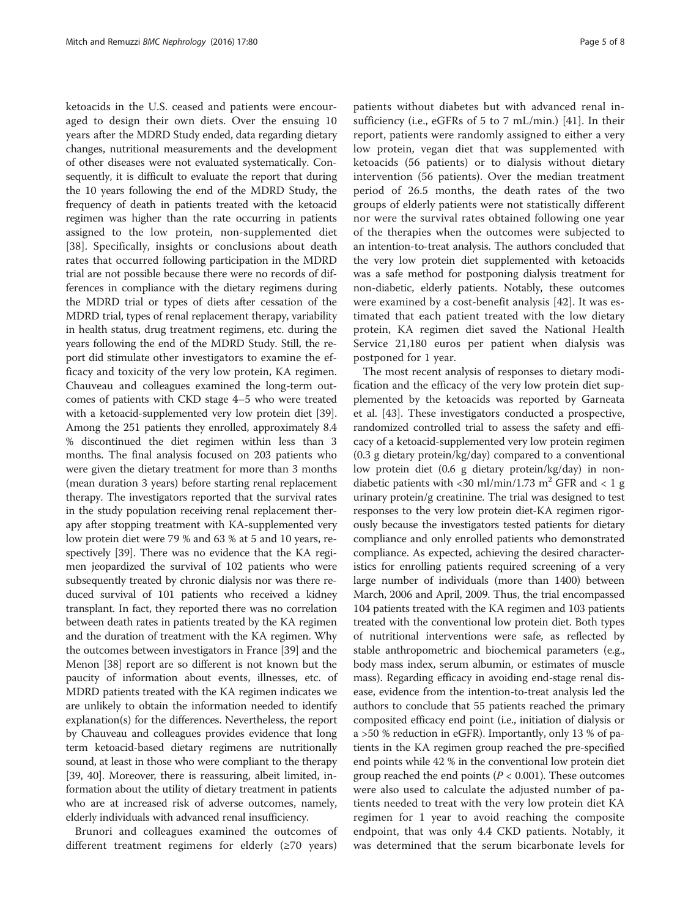ketoacids in the U.S. ceased and patients were encouraged to design their own diets. Over the ensuing 10 years after the MDRD Study ended, data regarding dietary changes, nutritional measurements and the development of other diseases were not evaluated systematically. Consequently, it is difficult to evaluate the report that during the 10 years following the end of the MDRD Study, the frequency of death in patients treated with the ketoacid regimen was higher than the rate occurring in patients assigned to the low protein, non-supplemented diet [[38\]](#page-7-0). Specifically, insights or conclusions about death rates that occurred following participation in the MDRD trial are not possible because there were no records of differences in compliance with the dietary regimens during the MDRD trial or types of diets after cessation of the MDRD trial, types of renal replacement therapy, variability in health status, drug treatment regimens, etc. during the years following the end of the MDRD Study. Still, the report did stimulate other investigators to examine the efficacy and toxicity of the very low protein, KA regimen. Chauveau and colleagues examined the long-term outcomes of patients with CKD stage 4–5 who were treated with a ketoacid-supplemented very low protein diet [[39](#page-7-0)]. Among the 251 patients they enrolled, approximately 8.4 % discontinued the diet regimen within less than 3 months. The final analysis focused on 203 patients who were given the dietary treatment for more than 3 months (mean duration 3 years) before starting renal replacement therapy. The investigators reported that the survival rates in the study population receiving renal replacement therapy after stopping treatment with KA-supplemented very low protein diet were 79 % and 63 % at 5 and 10 years, respectively [\[39\]](#page-7-0). There was no evidence that the KA regimen jeopardized the survival of 102 patients who were subsequently treated by chronic dialysis nor was there reduced survival of 101 patients who received a kidney transplant. In fact, they reported there was no correlation between death rates in patients treated by the KA regimen and the duration of treatment with the KA regimen. Why the outcomes between investigators in France [\[39\]](#page-7-0) and the Menon [\[38](#page-7-0)] report are so different is not known but the paucity of information about events, illnesses, etc. of MDRD patients treated with the KA regimen indicates we are unlikely to obtain the information needed to identify explanation(s) for the differences. Nevertheless, the report by Chauveau and colleagues provides evidence that long term ketoacid-based dietary regimens are nutritionally sound, at least in those who were compliant to the therapy [[39](#page-7-0), [40\]](#page-7-0). Moreover, there is reassuring, albeit limited, information about the utility of dietary treatment in patients who are at increased risk of adverse outcomes, namely, elderly individuals with advanced renal insufficiency.

Brunori and colleagues examined the outcomes of different treatment regimens for elderly (≥70 years)

patients without diabetes but with advanced renal insufficiency (i.e., eGFRs of 5 to 7 mL/min.) [\[41](#page-7-0)]. In their report, patients were randomly assigned to either a very low protein, vegan diet that was supplemented with ketoacids (56 patients) or to dialysis without dietary intervention (56 patients). Over the median treatment period of 26.5 months, the death rates of the two groups of elderly patients were not statistically different nor were the survival rates obtained following one year of the therapies when the outcomes were subjected to an intention-to-treat analysis. The authors concluded that the very low protein diet supplemented with ketoacids was a safe method for postponing dialysis treatment for non-diabetic, elderly patients. Notably, these outcomes were examined by a cost-benefit analysis [\[42](#page-7-0)]. It was estimated that each patient treated with the low dietary protein, KA regimen diet saved the National Health Service 21,180 euros per patient when dialysis was postponed for 1 year.

The most recent analysis of responses to dietary modification and the efficacy of the very low protein diet supplemented by the ketoacids was reported by Garneata et al. [\[43](#page-7-0)]. These investigators conducted a prospective, randomized controlled trial to assess the safety and efficacy of a ketoacid-supplemented very low protein regimen (0.3 g dietary protein/kg/day) compared to a conventional low protein diet (0.6 g dietary protein/kg/day) in nondiabetic patients with <30 ml/min/1.73 m<sup>2</sup> GFR and < 1 g urinary protein/g creatinine. The trial was designed to test responses to the very low protein diet-KA regimen rigorously because the investigators tested patients for dietary compliance and only enrolled patients who demonstrated compliance. As expected, achieving the desired characteristics for enrolling patients required screening of a very large number of individuals (more than 1400) between March, 2006 and April, 2009. Thus, the trial encompassed 104 patients treated with the KA regimen and 103 patients treated with the conventional low protein diet. Both types of nutritional interventions were safe, as reflected by stable anthropometric and biochemical parameters (e.g., body mass index, serum albumin, or estimates of muscle mass). Regarding efficacy in avoiding end-stage renal disease, evidence from the intention-to-treat analysis led the authors to conclude that 55 patients reached the primary composited efficacy end point (i.e., initiation of dialysis or a >50 % reduction in eGFR). Importantly, only 13 % of patients in the KA regimen group reached the pre-specified end points while 42 % in the conventional low protein diet group reached the end points ( $P < 0.001$ ). These outcomes were also used to calculate the adjusted number of patients needed to treat with the very low protein diet KA regimen for 1 year to avoid reaching the composite endpoint, that was only 4.4 CKD patients. Notably, it was determined that the serum bicarbonate levels for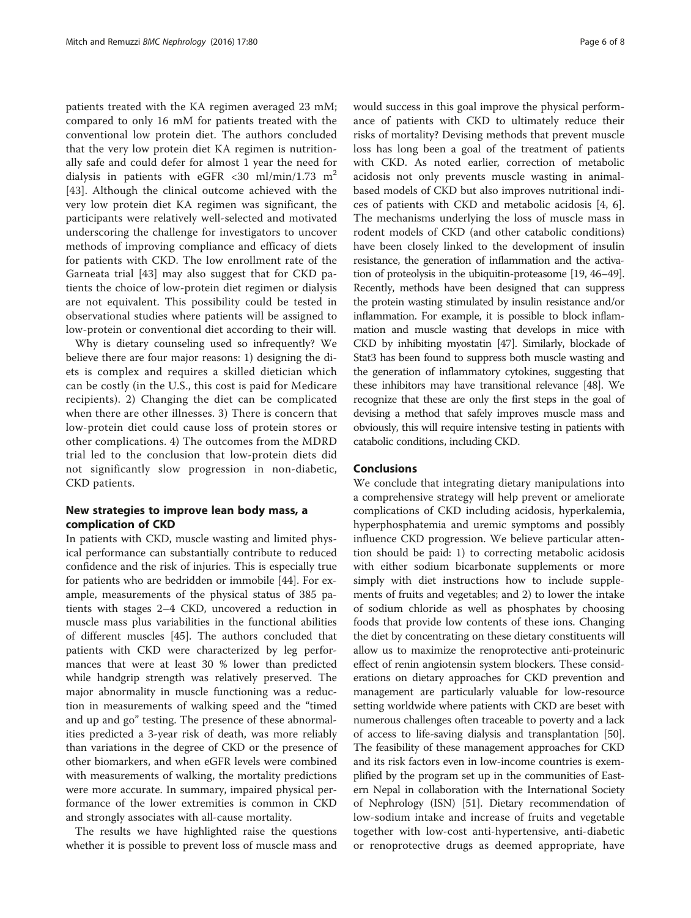patients treated with the KA regimen averaged 23 mM; compared to only 16 mM for patients treated with the conventional low protein diet. The authors concluded that the very low protein diet KA regimen is nutritionally safe and could defer for almost 1 year the need for dialysis in patients with eGFR <30 ml/min/1.73 m<sup>2</sup> [[43\]](#page-7-0). Although the clinical outcome achieved with the very low protein diet KA regimen was significant, the participants were relatively well-selected and motivated underscoring the challenge for investigators to uncover methods of improving compliance and efficacy of diets for patients with CKD. The low enrollment rate of the Garneata trial [[43\]](#page-7-0) may also suggest that for CKD patients the choice of low-protein diet regimen or dialysis are not equivalent. This possibility could be tested in observational studies where patients will be assigned to low-protein or conventional diet according to their will.

Why is dietary counseling used so infrequently? We believe there are four major reasons: 1) designing the diets is complex and requires a skilled dietician which can be costly (in the U.S., this cost is paid for Medicare recipients). 2) Changing the diet can be complicated when there are other illnesses. 3) There is concern that low-protein diet could cause loss of protein stores or other complications. 4) The outcomes from the MDRD trial led to the conclusion that low-protein diets did not significantly slow progression in non-diabetic, CKD patients.

### New strategies to improve lean body mass, a complication of CKD

In patients with CKD, muscle wasting and limited physical performance can substantially contribute to reduced confidence and the risk of injuries. This is especially true for patients who are bedridden or immobile [[44\]](#page-7-0). For example, measurements of the physical status of 385 patients with stages 2–4 CKD, uncovered a reduction in muscle mass plus variabilities in the functional abilities of different muscles [\[45\]](#page-7-0). The authors concluded that patients with CKD were characterized by leg performances that were at least 30 % lower than predicted while handgrip strength was relatively preserved. The major abnormality in muscle functioning was a reduction in measurements of walking speed and the "timed and up and go" testing. The presence of these abnormalities predicted a 3-year risk of death, was more reliably than variations in the degree of CKD or the presence of other biomarkers, and when eGFR levels were combined with measurements of walking, the mortality predictions were more accurate. In summary, impaired physical performance of the lower extremities is common in CKD and strongly associates with all-cause mortality.

The results we have highlighted raise the questions whether it is possible to prevent loss of muscle mass and would success in this goal improve the physical performance of patients with CKD to ultimately reduce their risks of mortality? Devising methods that prevent muscle loss has long been a goal of the treatment of patients with CKD. As noted earlier, correction of metabolic acidosis not only prevents muscle wasting in animalbased models of CKD but also improves nutritional indices of patients with CKD and metabolic acidosis [\[4](#page-6-0), [6](#page-6-0)]. The mechanisms underlying the loss of muscle mass in rodent models of CKD (and other catabolic conditions) have been closely linked to the development of insulin resistance, the generation of inflammation and the activation of proteolysis in the ubiquitin-proteasome [[19,](#page-6-0) [46](#page-7-0)–[49](#page-7-0)]. Recently, methods have been designed that can suppress the protein wasting stimulated by insulin resistance and/or inflammation. For example, it is possible to block inflammation and muscle wasting that develops in mice with CKD by inhibiting myostatin [\[47\]](#page-7-0). Similarly, blockade of Stat3 has been found to suppress both muscle wasting and the generation of inflammatory cytokines, suggesting that these inhibitors may have transitional relevance [[48](#page-7-0)]. We recognize that these are only the first steps in the goal of devising a method that safely improves muscle mass and obviously, this will require intensive testing in patients with catabolic conditions, including CKD.

#### Conclusions

We conclude that integrating dietary manipulations into a comprehensive strategy will help prevent or ameliorate complications of CKD including acidosis, hyperkalemia, hyperphosphatemia and uremic symptoms and possibly influence CKD progression. We believe particular attention should be paid: 1) to correcting metabolic acidosis with either sodium bicarbonate supplements or more simply with diet instructions how to include supplements of fruits and vegetables; and 2) to lower the intake of sodium chloride as well as phosphates by choosing foods that provide low contents of these ions. Changing the diet by concentrating on these dietary constituents will allow us to maximize the renoprotective anti-proteinuric effect of renin angiotensin system blockers. These considerations on dietary approaches for CKD prevention and management are particularly valuable for low-resource setting worldwide where patients with CKD are beset with numerous challenges often traceable to poverty and a lack of access to life-saving dialysis and transplantation [[50](#page-7-0)]. The feasibility of these management approaches for CKD and its risk factors even in low-income countries is exemplified by the program set up in the communities of Eastern Nepal in collaboration with the International Society of Nephrology (ISN) [\[51](#page-7-0)]. Dietary recommendation of low-sodium intake and increase of fruits and vegetable together with low-cost anti-hypertensive, anti-diabetic or renoprotective drugs as deemed appropriate, have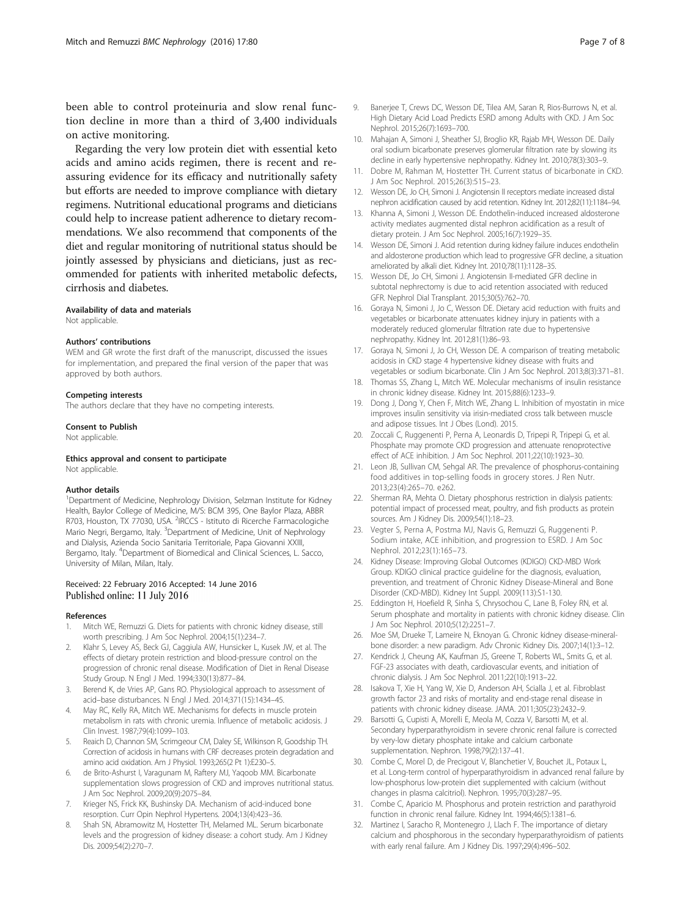<span id="page-6-0"></span>been able to control proteinuria and slow renal function decline in more than a third of 3,400 individuals on active monitoring.

Regarding the very low protein diet with essential keto acids and amino acids regimen, there is recent and reassuring evidence for its efficacy and nutritionally safety but efforts are needed to improve compliance with dietary regimens. Nutritional educational programs and dieticians could help to increase patient adherence to dietary recommendations. We also recommend that components of the diet and regular monitoring of nutritional status should be jointly assessed by physicians and dieticians, just as recommended for patients with inherited metabolic defects, cirrhosis and diabetes.

# Availability of data and materials

Not applicable.

#### Authors' contributions

WEM and GR wrote the first draft of the manuscript, discussed the issues for implementation, and prepared the final version of the paper that was approved by both authors.

#### Competing interests

The authors declare that they have no competing interests.

#### Consent to Publish

Not applicable.

#### Ethics approval and consent to participate Not applicable.

#### Author details

<sup>1</sup>Department of Medicine, Nephrology Division, Selzman Institute for Kidney Health, Baylor College of Medicine, M/S: BCM 395, One Baylor Plaza, ABBR R703, Houston, TX 77030, USA. <sup>2</sup>IRCCS - Istituto di Ricerche Farmacologiche Mario Negri, Bergamo, Italy. <sup>3</sup>Department of Medicine, Unit of Nephrology and Dialysis, Azienda Socio Sanitaria Territoriale, Papa Giovanni XXIII, Bergamo, Italy. <sup>4</sup>Department of Biomedical and Clinical Sciences, L. Sacco, University of Milan, Milan, Italy.

#### Received: 22 February 2016 Accepted: 14 June 2016 Published online: 11 July 2016

#### References

- 1. Mitch WE, Remuzzi G. Diets for patients with chronic kidney disease, still worth prescribing. J Am Soc Nephrol. 2004;15(1):234–7.
- Klahr S, Levey AS, Beck GJ, Caggiula AW, Hunsicker L, Kusek JW, et al. The effects of dietary protein restriction and blood-pressure control on the progression of chronic renal disease. Modification of Diet in Renal Disease Study Group. N Engl J Med. 1994;330(13):877–84.
- 3. Berend K, de Vries AP, Gans RO. Physiological approach to assessment of acid–base disturbances. N Engl J Med. 2014;371(15):1434–45.
- 4. May RC, Kelly RA, Mitch WE. Mechanisms for defects in muscle protein metabolism in rats with chronic uremia. Influence of metabolic acidosis. J Clin Invest. 1987;79(4):1099–103.
- Reaich D, Channon SM, Scrimgeour CM, Daley SE, Wilkinson R, Goodship TH. Correction of acidosis in humans with CRF decreases protein degradation and amino acid oxidation. Am J Physiol. 1993;265(2 Pt 1):E230–5.
- 6. de Brito-Ashurst I, Varagunam M, Raftery MJ, Yaqoob MM. Bicarbonate supplementation slows progression of CKD and improves nutritional status. J Am Soc Nephrol. 2009;20(9):2075–84.
- 7. Krieger NS, Frick KK, Bushinsky DA. Mechanism of acid-induced bone resorption. Curr Opin Nephrol Hypertens. 2004;13(4):423–36.
- Shah SN, Abramowitz M, Hostetter TH, Melamed ML. Serum bicarbonate levels and the progression of kidney disease: a cohort study. Am J Kidney Dis. 2009;54(2):270–7.
- 9. Banerjee T, Crews DC, Wesson DE, Tilea AM, Saran R, Rios-Burrows N, et al. High Dietary Acid Load Predicts ESRD among Adults with CKD. J Am Soc Nephrol. 2015;26(7):1693–700.
- 10. Mahajan A, Simoni J, Sheather SJ, Broglio KR, Rajab MH, Wesson DE. Daily oral sodium bicarbonate preserves glomerular filtration rate by slowing its decline in early hypertensive nephropathy. Kidney Int. 2010;78(3):303–9.
- 11. Dobre M, Rahman M, Hostetter TH. Current status of bicarbonate in CKD. J Am Soc Nephrol. 2015;26(3):515–23.
- 12. Wesson DE, Jo CH, Simoni J. Angiotensin II receptors mediate increased distal nephron acidification caused by acid retention. Kidney Int. 2012;82(11):1184–94.
- 13. Khanna A, Simoni J, Wesson DE. Endothelin-induced increased aldosterone activity mediates augmented distal nephron acidification as a result of dietary protein. J Am Soc Nephrol. 2005;16(7):1929–35.
- 14. Wesson DE, Simoni J. Acid retention during kidney failure induces endothelin and aldosterone production which lead to progressive GFR decline, a situation ameliorated by alkali diet. Kidney Int. 2010;78(11):1128–35.
- 15. Wesson DE, Jo CH, Simoni J. Angiotensin II-mediated GFR decline in subtotal nephrectomy is due to acid retention associated with reduced GFR. Nephrol Dial Transplant. 2015;30(5):762–70.
- 16. Goraya N, Simoni J, Jo C, Wesson DE. Dietary acid reduction with fruits and vegetables or bicarbonate attenuates kidney injury in patients with a moderately reduced glomerular filtration rate due to hypertensive nephropathy. Kidney Int. 2012;81(1):86–93.
- 17. Goraya N, Simoni J, Jo CH, Wesson DE. A comparison of treating metabolic acidosis in CKD stage 4 hypertensive kidney disease with fruits and vegetables or sodium bicarbonate. Clin J Am Soc Nephrol. 2013;8(3):371–81.
- 18. Thomas SS, Zhang L, Mitch WE. Molecular mechanisms of insulin resistance in chronic kidney disease. Kidney Int. 2015;88(6):1233–9.
- 19. Dong J, Dong Y, Chen F, Mitch WE, Zhang L. Inhibition of myostatin in mice improves insulin sensitivity via irisin-mediated cross talk between muscle and adipose tissues. Int J Obes (Lond). 2015.
- 20. Zoccali C, Ruggenenti P, Perna A, Leonardis D, Tripepi R, Tripepi G, et al. Phosphate may promote CKD progression and attenuate renoprotective effect of ACE inhibition. J Am Soc Nephrol. 2011;22(10):1923–30.
- 21. Leon JB, Sullivan CM, Sehgal AR. The prevalence of phosphorus-containing food additives in top-selling foods in grocery stores. J Ren Nutr. 2013;23(4):265–70. e262.
- 22. Sherman RA, Mehta O. Dietary phosphorus restriction in dialysis patients: potential impact of processed meat, poultry, and fish products as protein sources. Am J Kidney Dis. 2009;54(1):18–23.
- 23. Vegter S, Perna A, Postma MJ, Navis G, Remuzzi G, Ruggenenti P. Sodium intake, ACE inhibition, and progression to ESRD. J Am Soc Nephrol. 2012;23(1):165–73.
- 24. Kidney Disease: Improving Global Outcomes (KDIGO) CKD-MBD Work Group. KDIGO clinical practice guideline for the diagnosis, evaluation, prevention, and treatment of Chronic Kidney Disease-Mineral and Bone Disorder (CKD-MBD). Kidney Int Suppl. 2009(113):S1-130.
- 25. Eddington H, Hoefield R, Sinha S, Chrysochou C, Lane B, Foley RN, et al. Serum phosphate and mortality in patients with chronic kidney disease. Clin J Am Soc Nephrol. 2010;5(12):2251–7.
- 26. Moe SM, Drueke T, Lameire N, Eknoyan G. Chronic kidney disease-mineralbone disorder: a new paradigm. Adv Chronic Kidney Dis. 2007;14(1):3–12.
- 27. Kendrick J, Cheung AK, Kaufman JS, Greene T, Roberts WL, Smits G, et al. FGF-23 associates with death, cardiovascular events, and initiation of chronic dialysis. J Am Soc Nephrol. 2011;22(10):1913–22.
- 28. Isakova T, Xie H, Yang W, Xie D, Anderson AH, Scialla J, et al. Fibroblast growth factor 23 and risks of mortality and end-stage renal disease in patients with chronic kidney disease. JAMA. 2011;305(23):2432–9.
- 29. Barsotti G, Cupisti A, Morelli E, Meola M, Cozza V, Barsotti M, et al. Secondary hyperparathyroidism in severe chronic renal failure is corrected by very-low dietary phosphate intake and calcium carbonate supplementation. Nephron. 1998;79(2):137–41.
- 30. Combe C, Morel D, de Precigout V, Blanchetier V, Bouchet JL, Potaux L, et al. Long-term control of hyperparathyroidism in advanced renal failure by low-phosphorus low-protein diet supplemented with calcium (without changes in plasma calcitriol). Nephron. 1995;70(3):287–95.
- 31. Combe C, Aparicio M. Phosphorus and protein restriction and parathyroid function in chronic renal failure. Kidney Int. 1994;46(5):1381–6.
- 32. Martinez I, Saracho R, Montenegro J, Llach F. The importance of dietary calcium and phosphorous in the secondary hyperparathyroidism of patients with early renal failure. Am J Kidney Dis. 1997;29(4):496–502.